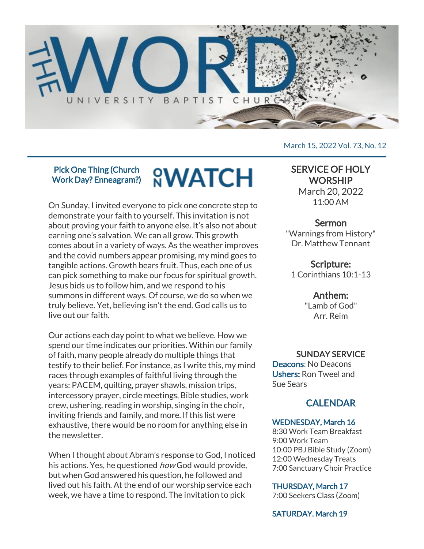

#### Pick One Thing (Church Work Day? Enneagram?)

# **<sup><u>O</sup>WATCH</u>**</sup>

On Sunday, I invited everyone to pick one concrete step to demonstrate your faith to yourself. This invitation is not about proving your faith to anyone else. It's also not about earning one's salvation. We can all grow. This growth comes about in a variety of ways. As the weather improves and the covid numbers appear promising, my mind goes to tangible actions. Growth bears fruit. Thus, each one of us can pick something to make our focus for spiritual growth. Jesus bids us to follow him, and we respond to his summons in different ways. Of course, we do so when we truly believe. Yet, believing isn't the end. God calls us to live out our faith.

Our actions each day point to what we believe. How we spend our time indicates our priorities. Within our family of faith, many people already do multiple things that testify to their belief. For instance, as I write this, my mind races through examples of faithful living through the years: PACEM, quilting, prayer shawls, mission trips, intercessory prayer, circle meetings, Bible studies, work crew, ushering, reading in worship, singing in the choir, inviting friends and family, and more. If this list were exhaustive, there would be no room for anything else in the newsletter.

When I thought about Abram's response to God, I noticed his actions. Yes, he questioned how God would provide, but when God answered his question, he followed and lived out his faith. At the end of our worship service each week, we have a time to respond. The invitation to pick

#### March 15, 2022 Vol. 73, No. 12

# SERVICE OF HOLY **WORSHIP**

March 20, 2022 11:00 AM

### **Sermon**

"Warnings from History" Dr. Matthew Tennant

#### Scripture: 1 Corinthians 10:1-13

# Anthem:

"Lamb of God" Arr. Reim

#### SUNDAY SERVICE

Deacons: No Deacons Ushers: Ron Tweel and Sue Sears

# CALENDAR

#### WEDNESDAY, March 16

8:30 Work Team Breakfast 9:00 Work Team 10:00 PBJ Bible Study (Zoom) 12:00 Wednesday Treats 7:00 Sanctuary Choir Practice

#### THURSDAY, March 17

7:00 Seekers Class (Zoom)

### SATURDAY. March 19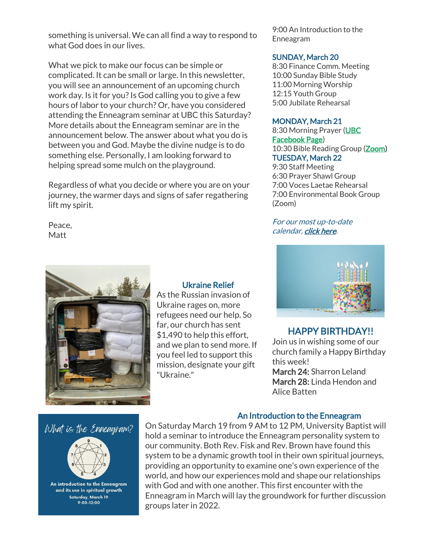something is universal. We can all find a way to respond to what God does in our lives.

What we pick to make our focus can be simple or complicated. It can be small or large. In this newsletter, you will see an announcement of an upcoming church work day. Is it for you? Is God calling you to give a few hours of labor to your church? Or, have you considered attending the Enneagram seminar at UBC this Saturday? More details about the Enneagram seminar are in the announcement below. The answer about what you do is between you and God. Maybe the divine nudge is to do something else. Personally, I am looking forward to helping spread some mulch on the playground.

Regardless of what you decide or where you are on your journey, the warmer days and signs of safer regathering lift my spirit.

Peace, **Matt** 

#### Ukraine Relief

As the Russian invasion of Ukraine rages on, more refugees need our help. So far, our church has sent \$1,490 to help this effort, and we plan to send more. If you feel led to support this mission, designate your gift "Ukraine."

9:00 An Introduction to the Enneagram

#### SUNDAY, March 20

8:30 Finance Comm. Meeting 10:00 Sunday Bible Study 11:00 Morning Worship 12:15 Youth Group 5:00 Jubilate Rehearsal

#### MONDAY, March 21

8:30 Morning Prayer [\(UBC](https://www.facebook.com/UniversityBaptistChurchCharlottesville) [Facebook Page\)](https://www.facebook.com/UniversityBaptistChurchCharlottesville) 10:30 Bible Reading Group [\(Zoom\)](https://us02web.zoom.us/j/85381408096?pwd=MzdkVG9JZ2x0M2JFK01KNlNjSWtqUT09) TUESDAY, March 22 9:30 Staff Meeting 6:30 Prayer Shawl Group 7:00 Voces Laetae Rehearsal 7:00 Environmental Book Group (Zoom)

#### For our most up-to-date calendar, [click here.](https://universitybaptist.org/calendar/)



### HAPPY BIRTHDAY!!

Join us in wishing some of our church family a Happy Birthday this week! March 24: Sharron Leland March 28: Linda Hendon and

Alice Batten

# What is the Enneagram?



An introduction to the Enneagram and its use in spiritual growth Saturday, March 19<br>9:00-12:00

#### An Introduction to the Enneagram

On Saturday March 19 from 9 AM to 12 PM, University Baptist will hold a seminar to introduce the Enneagram personality system to our community. Both Rev. Fisk and Rev. Brown have found this system to be a dynamic growth tool in their own spiritual journeys, providing an opportunity to examine one's own experience of the world, and how our experiences mold and shape our relationships with God and with one another. This first encounter with the Enneagram in March will lay the groundwork for further discussion groups later in 2022.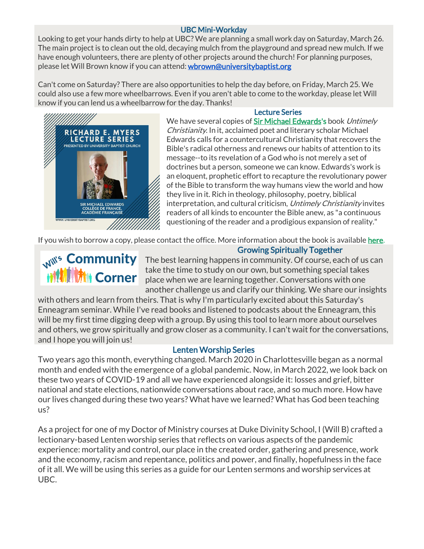#### UBC Mini-Workday

Looking to get your hands dirty to help at UBC? We are planning a small work day on Saturday, March 26. The main project is to clean out the old, decaying mulch from the playground and spread new mulch. If we have enough volunteers, there are plenty of other projects around the church! For planning purposes, please let Will Brown know if you can attend: [wbrown@universitybaptist.org](mailto:wbrown@universitybaptist.org)

Can't come on Saturday? There are also opportunities to help the day before, on Friday, March 25. We could also use a few more wheelbarrows. Even if you aren't able to come to the workday, please let Will know if you can lend us a wheelbarrow for the day. Thanks!



#### Lecture Series

We have several copies of [Sir Michael Edwards'](https://en.wikipedia.org/wiki/Michael_Edwards_(literary_scholar))s book Untimely Christianity. In it, acclaimed poet and literary scholar Michael Edwards calls for a countercultural Christianity that recovers the Bible's radical otherness and renews our habits of attention to its message--to its revelation of a God who is not merely a set of doctrines but a person, someone we can know. Edwards's work is an eloquent, prophetic effort to recapture the revolutionary power of the Bible to transform the way humans view the world and how they live in it. Rich in theology, philosophy, poetry, biblical interpretation, and cultural criticism, Untimely Christianity invites readers of all kinds to encounter the Bible anew, as "a continuous questioning of the reader and a prodigious expansion of reality."

If you wish to borrow a copy, please contact the office. More information about the book is available [here.](https://www.fortresspress.com/store/product/9781506480879/Untimely-Christianity)

# ii<sup>(材</sup>材) Corner

Mil<sup>ts</sup> Community The best learning happens in community. Of course, each of us can take the time to study on our own, but something special takes place when we are learning together. Conversations with one another challenge us and clarify our thinking. We share our insights

Growing Spiritually Together

with others and learn from theirs. That is why I'm particularly excited about this Saturday's Enneagram seminar. While I've read books and listened to podcasts about the Enneagram, this will be my first time digging deep with a group. By using this tool to learn more about ourselves and others, we grow spiritually and grow closer as a community. I can't wait for the conversations, and I hope you will join us!

#### Lenten Worship Series

Two years ago this month, everything changed. March 2020 in Charlottesville began as a normal month and ended with the emergence of a global pandemic. Now, in March 2022, we look back on these two years of COVID-19 and all we have experienced alongside it: losses and grief, bitter national and state elections, nationwide conversations about race, and so much more. How have our lives changed during these two years? What have we learned? What has God been teaching us?

As a project for one of my Doctor of Ministry courses at Duke Divinity School, I (Will B) crafted a lectionary-based Lenten worship series that reflects on various aspects of the pandemic experience: mortality and control, our place in the created order, gathering and presence, work and the economy, racism and repentance, politics and power, and finally, hopefulness in the face of it all. We will be using this series as a guide for our Lenten sermons and worship services at UBC.